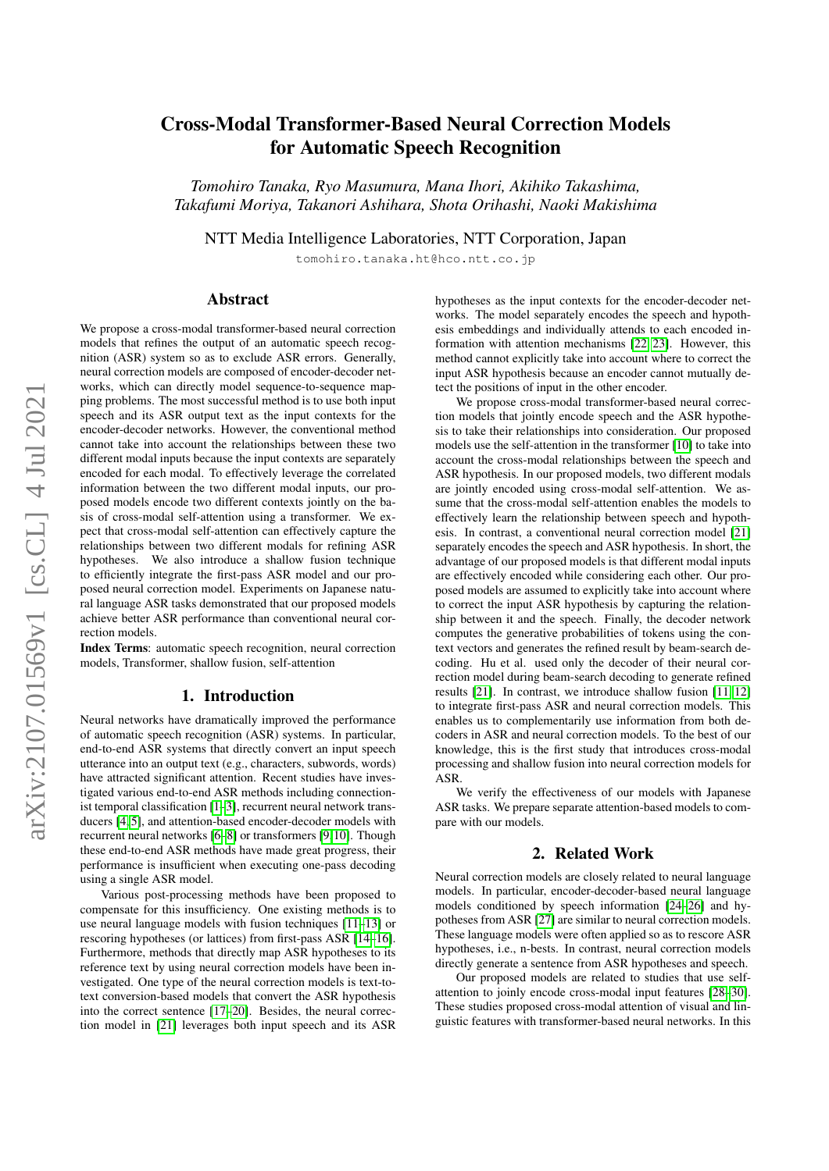# arXiv:2107.01569v1 [cs.CL] 4 Jul 2021 arXiv:2107.01569v1 [cs.CL] 4 Jul 2021

# Cross-Modal Transformer-Based Neural Correction Models for Automatic Speech Recognition

*Tomohiro Tanaka, Ryo Masumura, Mana Ihori, Akihiko Takashima, Takafumi Moriya, Takanori Ashihara, Shota Orihashi, Naoki Makishima*

NTT Media Intelligence Laboratories, NTT Corporation, Japan

tomohiro.tanaka.ht@hco.ntt.co.jp

### Abstract

We propose a cross-modal transformer-based neural correction models that refines the output of an automatic speech recognition (ASR) system so as to exclude ASR errors. Generally, neural correction models are composed of encoder-decoder networks, which can directly model sequence-to-sequence mapping problems. The most successful method is to use both input speech and its ASR output text as the input contexts for the encoder-decoder networks. However, the conventional method cannot take into account the relationships between these two different modal inputs because the input contexts are separately encoded for each modal. To effectively leverage the correlated information between the two different modal inputs, our proposed models encode two different contexts jointly on the basis of cross-modal self-attention using a transformer. We expect that cross-modal self-attention can effectively capture the relationships between two different modals for refining ASR hypotheses. We also introduce a shallow fusion technique to efficiently integrate the first-pass ASR model and our proposed neural correction model. Experiments on Japanese natural language ASR tasks demonstrated that our proposed models achieve better ASR performance than conventional neural correction models.

Index Terms: automatic speech recognition, neural correction models, Transformer, shallow fusion, self-attention

# 1. Introduction

Neural networks have dramatically improved the performance of automatic speech recognition (ASR) systems. In particular, end-to-end ASR systems that directly convert an input speech utterance into an output text (e.g., characters, subwords, words) have attracted significant attention. Recent studies have investigated various end-to-end ASR methods including connectionist temporal classification [\[1](#page-4-0)[–3\]](#page-4-1), recurrent neural network transducers [\[4,](#page-4-2) [5\]](#page-4-3), and attention-based encoder-decoder models with recurrent neural networks [\[6–](#page-4-4)[8\]](#page-4-5) or transformers [\[9,](#page-4-6)[10\]](#page-4-7). Though these end-to-end ASR methods have made great progress, their performance is insufficient when executing one-pass decoding using a single ASR model.

Various post-processing methods have been proposed to compensate for this insufficiency. One existing methods is to use neural language models with fusion techniques [\[11](#page-4-8)[–13\]](#page-4-9) or rescoring hypotheses (or lattices) from first-pass ASR [\[14–](#page-4-10)[16\]](#page-4-11). Furthermore, methods that directly map ASR hypotheses to its reference text by using neural correction models have been investigated. One type of the neural correction models is text-totext conversion-based models that convert the ASR hypothesis into the correct sentence [\[17](#page-4-12)[–20\]](#page-4-13). Besides, the neural correction model in [\[21\]](#page-4-14) leverages both input speech and its ASR hypotheses as the input contexts for the encoder-decoder networks. The model separately encodes the speech and hypothesis embeddings and individually attends to each encoded information with attention mechanisms [\[22,](#page-4-15) [23\]](#page-4-16). However, this method cannot explicitly take into account where to correct the input ASR hypothesis because an encoder cannot mutually detect the positions of input in the other encoder.

We propose cross-modal transformer-based neural correction models that jointly encode speech and the ASR hypothesis to take their relationships into consideration. Our proposed models use the self-attention in the transformer [\[10\]](#page-4-7) to take into account the cross-modal relationships between the speech and ASR hypothesis. In our proposed models, two different modals are jointly encoded using cross-modal self-attention. We assume that the cross-modal self-attention enables the models to effectively learn the relationship between speech and hypothesis. In contrast, a conventional neural correction model [\[21\]](#page-4-14) separately encodes the speech and ASR hypothesis. In short, the advantage of our proposed models is that different modal inputs are effectively encoded while considering each other. Our proposed models are assumed to explicitly take into account where to correct the input ASR hypothesis by capturing the relationship between it and the speech. Finally, the decoder network computes the generative probabilities of tokens using the context vectors and generates the refined result by beam-search decoding. Hu et al. used only the decoder of their neural correction model during beam-search decoding to generate refined results [\[21\]](#page-4-14). In contrast, we introduce shallow fusion [\[11,](#page-4-8) [12\]](#page-4-17) to integrate first-pass ASR and neural correction models. This enables us to complementarily use information from both decoders in ASR and neural correction models. To the best of our knowledge, this is the first study that introduces cross-modal processing and shallow fusion into neural correction models for ASR.

We verify the effectiveness of our models with Japanese ASR tasks. We prepare separate attention-based models to compare with our models.

# 2. Related Work

Neural correction models are closely related to neural language models. In particular, encoder-decoder-based neural language models conditioned by speech information [\[24–](#page-4-18)[26\]](#page-4-19) and hypotheses from ASR [\[27\]](#page-4-20) are similar to neural correction models. These language models were often applied so as to rescore ASR hypotheses, i.e., n-bests. In contrast, neural correction models directly generate a sentence from ASR hypotheses and speech.

Our proposed models are related to studies that use selfattention to joinly encode cross-modal input features [\[28](#page-4-21)[–30\]](#page-4-22). These studies proposed cross-modal attention of visual and linguistic features with transformer-based neural networks. In this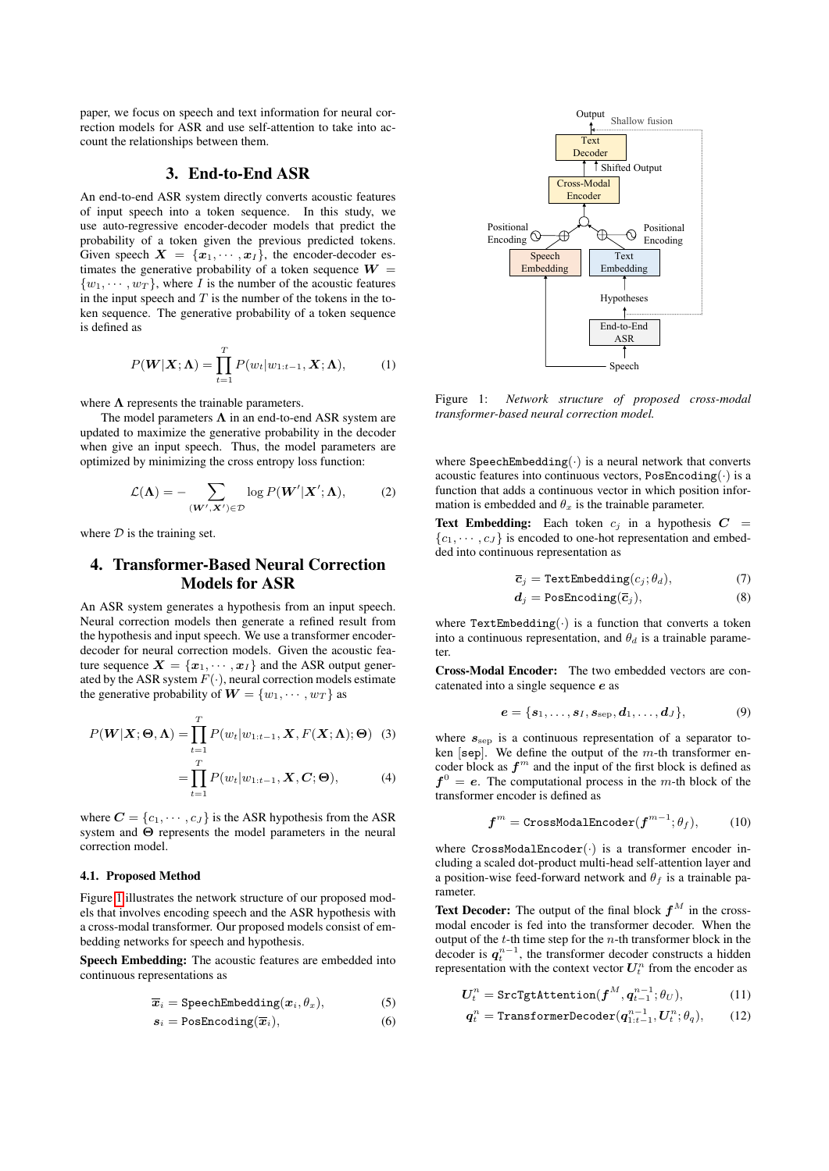paper, we focus on speech and text information for neural correction models for ASR and use self-attention to take into account the relationships between them.

### 3. End-to-End ASR

An end-to-end ASR system directly converts acoustic features of input speech into a token sequence. In this study, we use auto-regressive encoder-decoder models that predict the probability of a token given the previous predicted tokens. Given speech  $X = \{x_1, \dots, x_I\}$ , the encoder-decoder estimates the generative probability of a token sequence  $W =$  $\{w_1, \dots, w_T\}$ , where I is the number of the acoustic features in the input speech and  $T$  is the number of the tokens in the token sequence. The generative probability of a token sequence is defined as

$$
P(\boldsymbol{W}|\boldsymbol{X};\boldsymbol{\Lambda}) = \prod_{t=1}^{T} P(w_t|w_{1:t-1}, \boldsymbol{X};\boldsymbol{\Lambda}), \qquad (1)
$$

where  $\Lambda$  represents the trainable parameters.

The model parameters  $\Lambda$  in an end-to-end ASR system are updated to maximize the generative probability in the decoder when give an input speech. Thus, the model parameters are optimized by minimizing the cross entropy loss function:

$$
\mathcal{L}(\mathbf{\Lambda}) = -\sum_{(\mathbf{W}', \mathbf{X}') \in \mathcal{D}} \log P(\mathbf{W}' | \mathbf{X}'; \mathbf{\Lambda}), \tag{2}
$$

where  $D$  is the training set.

# 4. Transformer-Based Neural Correction Models for ASR

An ASR system generates a hypothesis from an input speech. Neural correction models then generate a refined result from the hypothesis and input speech. We use a transformer encoderdecoder for neural correction models. Given the acoustic feature sequence  $\mathbf{X} = \{x_1, \dots, x_I\}$  and the ASR output generated by the ASR system  $F(\cdot)$ , neural correction models estimate the generative probability of  $\mathbf{W} = \{w_1, \dots, w_T\}$  as

$$
P(\boldsymbol{W}|\boldsymbol{X};\boldsymbol{\Theta},\boldsymbol{\Lambda})=\prod_{t=1}^{T}P(w_t|w_{1:t-1},\boldsymbol{X},F(\boldsymbol{X};\boldsymbol{\Lambda});\boldsymbol{\Theta})
$$
(3)

$$
=\prod_{t=1}^T P(w_t|w_{1:t-1}, \mathbf{X}, \mathbf{C}; \Theta), \tag{4}
$$

where  $C = \{c_1, \dots, c_J\}$  is the ASR hypothesis from the ASR system and Θ represents the model parameters in the neural correction model.

### 4.1. Proposed Method

Figure [1](#page-1-0) illustrates the network structure of our proposed models that involves encoding speech and the ASR hypothesis with a cross-modal transformer. Our proposed models consist of embedding networks for speech and hypothesis.

Speech Embedding: The acoustic features are embedded into continuous representations as

$$
\overline{x}_i = \texttt{SpechEmbedding}(x_i, \theta_x), \tag{5}
$$

$$
s_i = \text{PosEncoding}(\overline{x}_i),\tag{6}
$$

<span id="page-1-0"></span>

Figure 1: *Network structure of proposed cross-modal transformer-based neural correction model.*

where SpeechEmbedding( $\cdot$ ) is a neural network that converts acoustic features into continuous vectors, PosEncoding $(\cdot)$  is a function that adds a continuous vector in which position information is embedded and  $\theta_x$  is the trainable parameter.

**Text Embedding:** Each token  $c_i$  in a hypothesis  $C =$  ${c_1, \dots, c_J}$  is encoded to one-hot representation and embedded into continuous representation as

$$
\overline{c}_j = \texttt{TextEmbedding}(c_j; \theta_d), \tag{7}
$$

<span id="page-1-4"></span><span id="page-1-3"></span>
$$
d_j = \text{PosEncoding}(\overline{c}_j),\tag{8}
$$

where TextEmbedding( $\cdot$ ) is a function that converts a token into a continuous representation, and  $\theta_d$  is a trainable parameter.

Cross-Modal Encoder: The two embedded vectors are concatenated into a single sequence e as

$$
\boldsymbol{e} = \{\boldsymbol{s}_1,\ldots,\boldsymbol{s}_I,\boldsymbol{s}_{\rm sep},\boldsymbol{d}_1,\ldots,\boldsymbol{d}_J\},\tag{9}
$$

<span id="page-1-6"></span>where  $s_{\rm sep}$  is a continuous representation of a separator token [sep]. We define the output of the  $m$ -th transformer encoder block as  $f<sup>m</sup>$  and the input of the first block is defined as  $f^0 = e$ . The computational process in the m-th block of the transformer encoder is defined as

$$
\boldsymbol{f}^{m} = \text{CrossModalEncoder}(\boldsymbol{f}^{m-1}; \theta_f), \quad (10)
$$

where  $CrossModalEncoder(\cdot)$  is a transformer encoder including a scaled dot-product multi-head self-attention layer and a position-wise feed-forward network and  $\theta_f$  is a trainable parameter.

**Text Decoder:** The output of the final block  $f^M$  in the crossmodal encoder is fed into the transformer decoder. When the output of the  $t$ -th time step for the  $n$ -th transformer block in the decoder is  $q_t^{n-1}$ , the transformer decoder constructs a hidden representation with the context vector  $U_t^n$  from the encoder as

<span id="page-1-1"></span>
$$
U_t^n = \text{SrcTgthttention}(f^M, q_{t-1}^{n-1}; \theta_U), \tag{11}
$$

<span id="page-1-5"></span><span id="page-1-2"></span>
$$
\boldsymbol{q}_t^n = \texttt{TransformerDecoder}(\boldsymbol{q}_{1:t-1}^{n-1}, \boldsymbol{U}_t^n; \theta_q), \qquad (12)
$$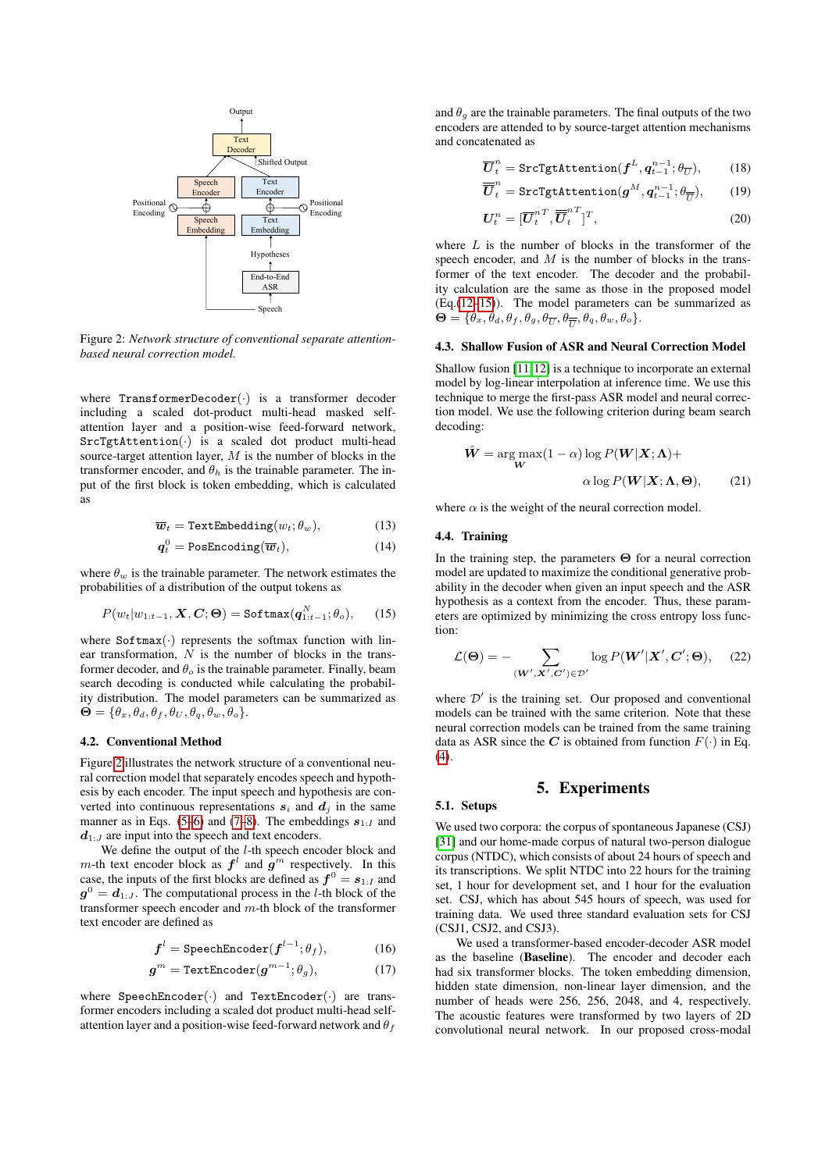<span id="page-2-0"></span>

Figure 2: *Network structure of conventional separate attentionbased neural correction model.*

where TransformerDecoder $(\cdot)$  is a transformer decoder including a scaled dot-product multi-head masked selfattention layer and a position-wise feed-forward network,  $SrcTg$ tAttention $\left(\cdot\right)$  is a scaled dot product multi-head source-target attention layer,  $M$  is the number of blocks in the transformer encoder, and  $\theta_h$  is the trainable parameter. The input of the first block is token embedding, which is calculated as

$$
\overline{\boldsymbol{w}}_t = \texttt{TextEmbedding}(w_t; \theta_w), \tag{13}
$$

$$
\boldsymbol{q}_t^0 = \text{PosEncoding}(\overline{\boldsymbol{w}}_t),\tag{14}
$$

where  $\theta_w$  is the trainable parameter. The network estimates the probabilities of a distribution of the output tokens as

$$
P(w_t|w_{1:t-1}, \mathbf{X}, \mathbf{C}; \boldsymbol{\Theta}) = \texttt{Softmax}(\boldsymbol{q}_{1:t-1}^N; \theta_o), \qquad (15)
$$

where  $Softmax(\cdot)$  represents the softmax function with linear transformation,  $N$  is the number of blocks in the transformer decoder, and  $\theta_o$  is the trainable parameter. Finally, beam search decoding is conducted while calculating the probability distribution. The model parameters can be summarized as  $\Theta = {\theta_x, \theta_d, \theta_f, \theta_U, \theta_q, \theta_w, \theta_o}.$ 

### 4.2. Conventional Method

Figure [2](#page-2-0) illustrates the network structure of a conventional neural correction model that separately encodes speech and hypothesis by each encoder. The input speech and hypothesis are converted into continuous representations  $s_i$  and  $d_j$  in the same manner as in Eqs. [\(5–](#page-1-1)[6\)](#page-1-2) and [\(7–](#page-1-3)[8\)](#page-1-4). The embeddings  $s_{1:I}$  and  $d_{1:J}$  are input into the speech and text encoders.

We define the output of the *l*-th speech encoder block and m-th text encoder block as  $f^l$  and  $g^m$  respectively. In this case, the inputs of the first blocks are defined as  $f^0 = s_{1:I}$  and  $g^0 = d_{1:J}$ . The computational process in the *l*-th block of the transformer speech encoder and m-th block of the transformer text encoder are defined as

$$
\boldsymbol{f}^l = \text{SpechEncoder}(\boldsymbol{f}^{l-1}; \theta_f), \tag{16}
$$

$$
\boldsymbol{g}^{m} = \texttt{TextEncoder}(\boldsymbol{g}^{m-1}; \theta_g), \tag{17}
$$

where  $\text{SpechEncoder}(\cdot)$  and  $\text{TextEncoder}(\cdot)$  are transformer encoders including a scaled dot product multi-head selfattention layer and a position-wise feed-forward network and  $\theta_f$  and  $\theta_q$  are the trainable parameters. The final outputs of the two encoders are attended to by source-target attention mechanisms and concatenated as

$$
\overline{U}_t^n = \texttt{SrcTg} \texttt{tAttention}(f^L, q_{t-1}^{n-1}; \theta_{\overline{U}}), \qquad (18)
$$

$$
\overline{\overline{U}}_t^n = \texttt{SrcTgtAttention}(g^M, q_{t-1}^{n-1}; \theta_{\overline{U}}), \quad (19)
$$

$$
\boldsymbol{U}_t^n = [\overline{\boldsymbol{U}}_t^{n\,T}, \overline{\overline{\boldsymbol{U}}}_t^{n\,T}]^T,\tag{20}
$$

where  $L$  is the number of blocks in the transformer of the speech encoder, and  $M$  is the number of blocks in the transformer of the text encoder. The decoder and the probability calculation are the same as those in the proposed model (Eq.[\(12](#page-1-5)[–15\)](#page-2-1)). The model parameters can be summarized as  $\mathbf{\Theta} = \{\theta_x, \theta_d, \theta_f, \theta_g, \theta_{\overline{U}}, \theta_{\overline{U}}, \theta_q, \theta_w, \theta_o\}.$ 

### 4.3. Shallow Fusion of ASR and Neural Correction Model

Shallow fusion [\[11,](#page-4-8)[12\]](#page-4-17) is a technique to incorporate an external model by log-linear interpolation at inference time. We use this technique to merge the first-pass ASR model and neural correction model. We use the following criterion during beam search decoding:

$$
\hat{W} = \arg\max_{\mathbf{W}} (1 - \alpha) \log P(\mathbf{W} | \mathbf{X}; \mathbf{\Lambda}) +
$$

$$
\alpha \log P(\mathbf{W} | \mathbf{X}; \mathbf{\Lambda}, \mathbf{\Theta}), \qquad (21)
$$

where  $\alpha$  is the weight of the neural correction model.

### 4.4. Training

<span id="page-2-1"></span>In the training step, the parameters  $\Theta$  for a neural correction model are updated to maximize the conditional generative probability in the decoder when given an input speech and the ASR hypothesis as a context from the encoder. Thus, these parameters are optimized by minimizing the cross entropy loss function:

$$
\mathcal{L}(\mathbf{\Theta}) = -\sum_{(\mathbf{W}', \mathbf{X}', \mathbf{C}') \in \mathcal{D}'} \log P(\mathbf{W}' | \mathbf{X}', \mathbf{C}'; \mathbf{\Theta}), \quad (22)
$$

where  $\mathcal{D}'$  is the training set. Our proposed and conventional models can be trained with the same criterion. Note that these neural correction models can be trained from the same training data as ASR since the C is obtained from function  $F(\cdot)$  in Eq.  $(4)$ .

### 5. Experiments

### 5.1. Setups

We used two corpora: the corpus of spontaneous Japanese (CSJ) [\[31\]](#page-4-23) and our home-made corpus of natural two-person dialogue corpus (NTDC), which consists of about 24 hours of speech and its transcriptions. We split NTDC into 22 hours for the training set, 1 hour for development set, and 1 hour for the evaluation set. CSJ, which has about 545 hours of speech, was used for training data. We used three standard evaluation sets for CSJ (CSJ1, CSJ2, and CSJ3).

We used a transformer-based encoder-decoder ASR model as the baseline (Baseline). The encoder and decoder each had six transformer blocks. The token embedding dimension, hidden state dimension, non-linear layer dimension, and the number of heads were 256, 256, 2048, and 4, respectively. The acoustic features were transformed by two layers of 2D convolutional neural network. In our proposed cross-modal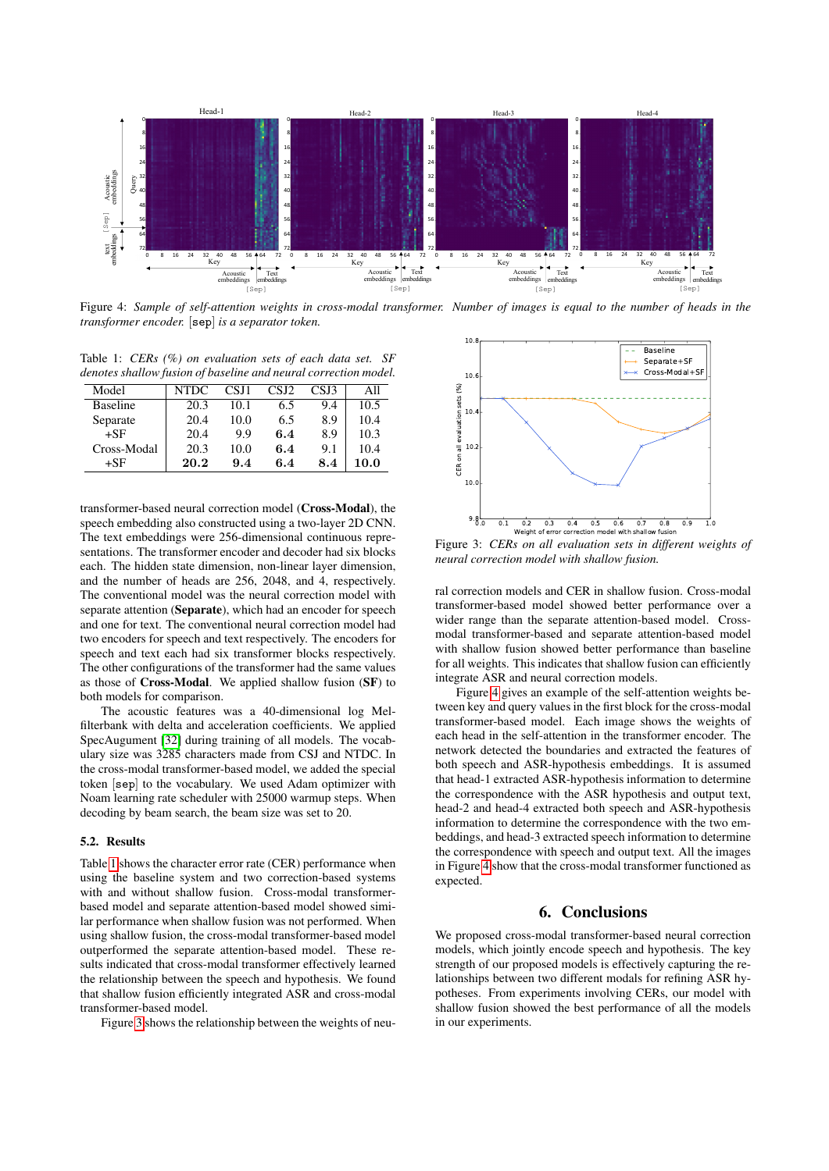<span id="page-3-2"></span>

Figure 4: *Sample of self-attention weights in cross-modal transformer. Number of images is equal to the number of heads in the transformer encoder.* [sep] *is a separator token.*

<span id="page-3-0"></span>Table 1: *CERs (%) on evaluation sets of each data set. SF denotes shallow fusion of baseline and neural correction model.*

| Model           | NTDC | CSJ1 | CSJ2 | CSJ3 | All  |
|-----------------|------|------|------|------|------|
| <b>Baseline</b> | 20.3 | 10.1 | 6.5  | 9.4  | 10.5 |
| Separate        | 20.4 | 10.0 | 6.5  | 8.9  | 10.4 |
| $+SF$           | 20.4 | 9.9  | 6.4  | 8.9  | 10.3 |
| Cross-Modal     | 20.3 | 10.0 | 6.4  | 9.1  | 10.4 |
| $+SF$           | 20.2 | 9.4  | 6.4  | 8.4  | 10.0 |

transformer-based neural correction model (Cross-Modal), the speech embedding also constructed using a two-layer 2D CNN. The text embeddings were 256-dimensional continuous representations. The transformer encoder and decoder had six blocks each. The hidden state dimension, non-linear layer dimension, and the number of heads are 256, 2048, and 4, respectively. The conventional model was the neural correction model with separate attention (Separate), which had an encoder for speech and one for text. The conventional neural correction model had two encoders for speech and text respectively. The encoders for speech and text each had six transformer blocks respectively. The other configurations of the transformer had the same values as those of Cross-Modal. We applied shallow fusion (SF) to both models for comparison.

The acoustic features was a 40-dimensional log Melfilterbank with delta and acceleration coefficients. We applied SpecAugument [\[32\]](#page-4-24) during training of all models. The vocabulary size was 3285 characters made from CSJ and NTDC. In the cross-modal transformer-based model, we added the special token [sep] to the vocabulary. We used Adam optimizer with Noam learning rate scheduler with 25000 warmup steps. When decoding by beam search, the beam size was set to 20.

### 5.2. Results

Table [1](#page-3-0) shows the character error rate (CER) performance when using the baseline system and two correction-based systems with and without shallow fusion. Cross-modal transformerbased model and separate attention-based model showed similar performance when shallow fusion was not performed. When using shallow fusion, the cross-modal transformer-based model outperformed the separate attention-based model. These results indicated that cross-modal transformer effectively learned the relationship between the speech and hypothesis. We found that shallow fusion efficiently integrated ASR and cross-modal transformer-based model.

Figure [3](#page-3-1) shows the relationship between the weights of neu-

<span id="page-3-1"></span>

Figure 3: *CERs on all evaluation sets in different weights of neural correction model with shallow fusion.*

ral correction models and CER in shallow fusion. Cross-modal transformer-based model showed better performance over a wider range than the separate attention-based model. Crossmodal transformer-based and separate attention-based model with shallow fusion showed better performance than baseline for all weights. This indicates that shallow fusion can efficiently integrate ASR and neural correction models.

Figure [4](#page-3-2) gives an example of the self-attention weights between key and query values in the first block for the cross-modal transformer-based model. Each image shows the weights of each head in the self-attention in the transformer encoder. The network detected the boundaries and extracted the features of both speech and ASR-hypothesis embeddings. It is assumed that head-1 extracted ASR-hypothesis information to determine the correspondence with the ASR hypothesis and output text, head-2 and head-4 extracted both speech and ASR-hypothesis information to determine the correspondence with the two embeddings, and head-3 extracted speech information to determine the correspondence with speech and output text. All the images in Figure [4](#page-3-2) show that the cross-modal transformer functioned as expected.

# 6. Conclusions

We proposed cross-modal transformer-based neural correction models, which jointly encode speech and hypothesis. The key strength of our proposed models is effectively capturing the relationships between two different modals for refining ASR hypotheses. From experiments involving CERs, our model with shallow fusion showed the best performance of all the models in our experiments.